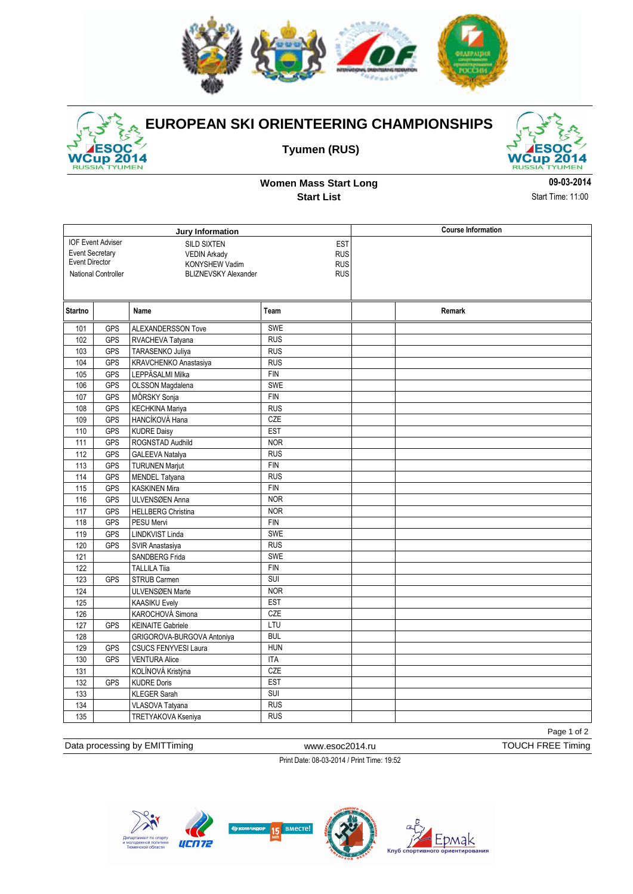

2014 TYUMEN **RUSSIA** 

## **EUROPEAN SKI ORIENTEERING CHAMPIONSHIPS**

**Tyumen (RUS)**



**Women Mass Start Long Start List**

**09-03-2014** Start Time: 11:00

|                                                              |                     | Jury Information            | <b>Course Information</b> |        |
|--------------------------------------------------------------|---------------------|-----------------------------|---------------------------|--------|
| <b>IOF Event Adviser</b><br><b>SILD SIXTEN</b><br><b>EST</b> |                     |                             |                           |        |
| <b>Event Secretary</b>                                       |                     | <b>VEDIN Arkady</b>         | <b>RUS</b>                |        |
| Event Director<br>KONYSHEW Vadim                             |                     |                             | <b>RUS</b>                |        |
|                                                              | National Controller | <b>BLIZNEVSKY Alexander</b> | <b>RUS</b>                |        |
|                                                              |                     |                             |                           |        |
| <b>Startno</b>                                               |                     | Name                        | Team                      | Remark |
| 101                                                          | GPS                 | ALEXANDERSSON Tove          | SWE                       |        |
| 102                                                          | <b>GPS</b>          | RVACHEVA Tatyana            | <b>RUS</b>                |        |
| 103                                                          | <b>GPS</b>          | TARASENKO Juliya            | <b>RUS</b>                |        |
| 104                                                          | GPS                 | KRAVCHENKO Anastasiya       | <b>RUS</b>                |        |
| 105                                                          | GPS                 | LEPPÄSALMI Milka            | <b>FIN</b>                |        |
| 106                                                          | <b>GPS</b>          | OLSSON Magdalena            | <b>SWE</b>                |        |
| 107                                                          | GPS                 | MÖRSKY Sonja                | FIN                       |        |
| 108                                                          | <b>GPS</b>          | <b>KECHKINA Mariya</b>      | <b>RUS</b>                |        |
| 109                                                          | GPS                 | HANCÍKOVÁ Hana              | CZE                       |        |
| 110                                                          | <b>GPS</b>          | <b>KUDRE Daisy</b>          | <b>EST</b>                |        |
| 111                                                          | <b>GPS</b>          | ROGNSTAD Audhild            | <b>NOR</b>                |        |
| 112                                                          | <b>GPS</b>          | GALEEVA Natalya             | RUS                       |        |
| 113                                                          | <b>GPS</b>          | <b>TURUNEN Marjut</b>       | <b>FIN</b>                |        |
| 114                                                          | GPS                 | MENDEL Tatyana              | <b>RUS</b>                |        |
| 115                                                          | <b>GPS</b>          | <b>KASKINEN Mira</b>        | <b>FIN</b>                |        |
| 116                                                          | <b>GPS</b>          | ULVENSØEN Anna              | <b>NOR</b>                |        |
| 117                                                          | <b>GPS</b>          | <b>HELLBERG Christina</b>   | <b>NOR</b>                |        |
| 118                                                          | <b>GPS</b>          | PESU Mervi                  | <b>FIN</b>                |        |
| 119                                                          | <b>GPS</b>          | LINDKVIST Linda             | SWE                       |        |
| 120                                                          | <b>GPS</b>          | SVIR Anastasiya             | RUS                       |        |
| 121                                                          |                     | <b>SANDBERG Frida</b>       | <b>SWE</b>                |        |
| 122                                                          |                     | <b>TALLILA Tiia</b>         | FIN                       |        |
| 123                                                          | <b>GPS</b>          | STRUB Carmen                | $\overline{\text{SUI}}$   |        |
| 124                                                          |                     | ULVENSØEN Marte             | <b>NOR</b>                |        |
| 125                                                          |                     | <b>KAASIKU Evely</b>        | <b>EST</b>                |        |
| 126                                                          |                     | KAROCHOVÁ Simona            | CZE                       |        |
| 127                                                          | <b>GPS</b>          | <b>KEINAITE Gabriele</b>    | LTU                       |        |
| 128                                                          |                     | GRIGOROVA-BURGOVA Antoniya  | <b>BUL</b>                |        |
| 129                                                          | <b>GPS</b>          | CSUCS FENYVESI Laura        | <b>HUN</b>                |        |
| 130                                                          | <b>GPS</b>          | <b>VENTURA Alice</b>        | <b>ITA</b>                |        |
| 131                                                          |                     | KOLÍNOVÁ Kristýna           | CZE                       |        |
| 132                                                          | <b>GPS</b>          | <b>KUDRE Doris</b>          | <b>EST</b>                |        |
| 133                                                          |                     | <b>KLEGER Sarah</b>         | SUI                       |        |
| 134                                                          |                     | VLASOVA Tatyana             | <b>RUS</b>                |        |
| $\frac{1}{135}$                                              |                     | TRETYAKOVA Kseniya          | RUS                       |        |

Page 1 of 2

Data processing by EMITTiming www.esoc2014.ru TOUCH FREE Timing

Print Date: 08-03-2014 / Print Time: 19:52